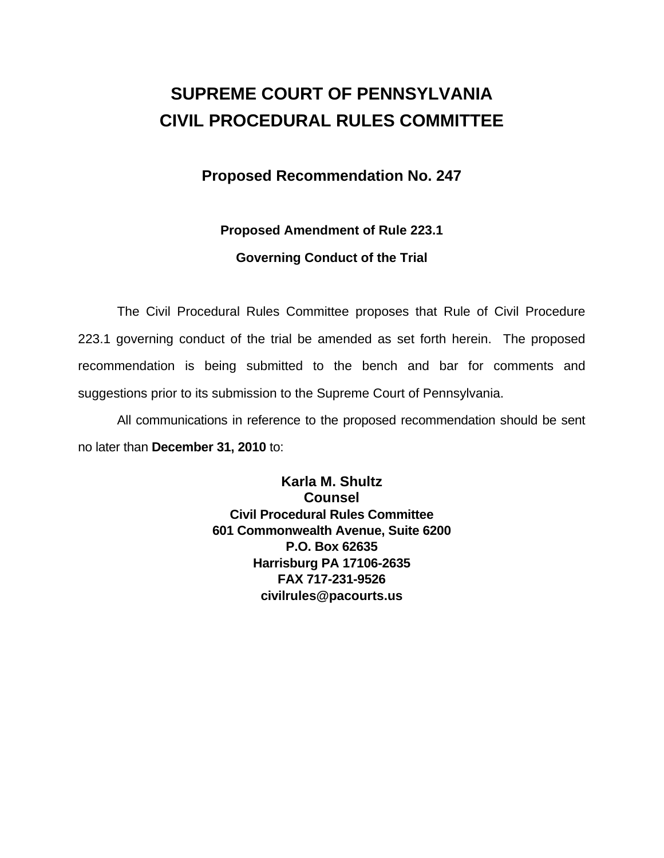# **SUPREME COURT OF PENNSYLVANIA CIVIL PROCEDURAL RULES COMMITTEE**

### **Proposed Recommendation No. 247**

### **Proposed Amendment of Rule 223.1**

#### **Governing Conduct of the Trial**

 The Civil Procedural Rules Committee proposes that Rule of Civil Procedure 223.1 governing conduct of the trial be amended as set forth herein. The proposed recommendation is being submitted to the bench and bar for comments and suggestions prior to its submission to the Supreme Court of Pennsylvania.

 All communications in reference to the proposed recommendation should be sent no later than **December 31, 2010** to:

> **Karla M. Shultz Counsel Civil Procedural Rules Committee 601 Commonwealth Avenue, Suite 6200 P.O. Box 62635 Harrisburg PA 17106-2635 FAX 717-231-9526 civilrules@pacourts.us**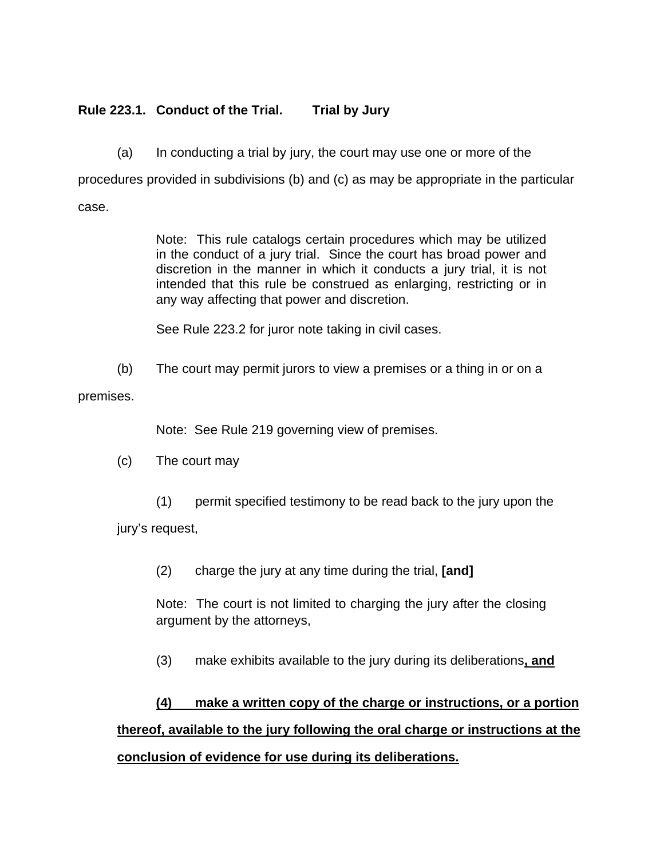#### **Rule 223.1. Conduct of the Trial. Trial by Jury**

(a) In conducting a trial by jury, the court may use one or more of the

procedures provided in subdivisions (b) and (c) as may be appropriate in the particular case.

> Note: This rule catalogs certain procedures which may be utilized in the conduct of a jury trial. Since the court has broad power and discretion in the manner in which it conducts a jury trial, it is not intended that this rule be construed as enlarging, restricting or in any way affecting that power and discretion.

See Rule 223.2 for juror note taking in civil cases.

(b) The court may permit jurors to view a premises or a thing in or on a

premises.

Note: See Rule 219 governing view of premises.

- (c) The court may
	- (1) permit specified testimony to be read back to the jury upon the

jury's request,

(2) charge the jury at any time during the trial, **[and]**

Note: The court is not limited to charging the jury after the closing argument by the attorneys,

(3) make exhibits available to the jury during its deliberations**, and**

# **(4) make a written copy of the charge or instructions, or a portion thereof, available to the jury following the oral charge or instructions at the conclusion of evidence for use during its deliberations.**